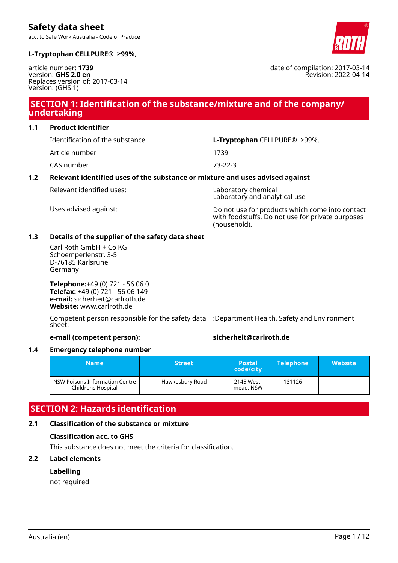acc. to Safe Work Australia - Code of Practice



date of compilation: 2017-03-14

Revision: 2022-04-14

### **L-Tryptophan CELLPURE® ≥99%,**

article number: **1739** Version: **GHS 2.0 en** Replaces version of: 2017-03-14 Version: (GHS 1)

## **SECTION 1: Identification of the substance/mixture and of the company/ undertaking**

**1.1 Product identifier**

Identification of the substance **L-Tryptophan** CELLPURE® ≥99%, Article number 1739

CAS number 73-22-3

### **1.2 Relevant identified uses of the substance or mixture and uses advised against**

Relevant identified uses: Laboratory chemical

Laboratory and analytical use

Uses advised against: Do not use for products which come into contact with foodstuffs. Do not use for private purposes (household).

### **1.3 Details of the supplier of the safety data sheet**

Carl Roth GmbH + Co KG Schoemperlenstr. 3-5 D-76185 Karlsruhe Germany

**Telephone:**+49 (0) 721 - 56 06 0 **Telefax:** +49 (0) 721 - 56 06 149 **e-mail:** sicherheit@carlroth.de **Website:** www.carlroth.de

Competent person responsible for the safety data :Department Health, Safety and Environment sheet:

### **e-mail (competent person): sicherheit@carlroth.de**

### **1.4 Emergency telephone number**

|                                                      | <b>Name</b> | 'Street         | <b>Postal</b><br>code/city | <b>Telephone</b> | <b>Website</b> |
|------------------------------------------------------|-------------|-----------------|----------------------------|------------------|----------------|
| NSW Poisons Information Centre<br>Childrens Hospital |             | Hawkesbury Road | 2145 West-<br>mead, NSW    | 131126           |                |

### **SECTION 2: Hazards identification**

### **2.1 Classification of the substance or mixture**

### **Classification acc. to GHS**

This substance does not meet the criteria for classification.

### **2.2 Label elements**

### **Labelling**

not required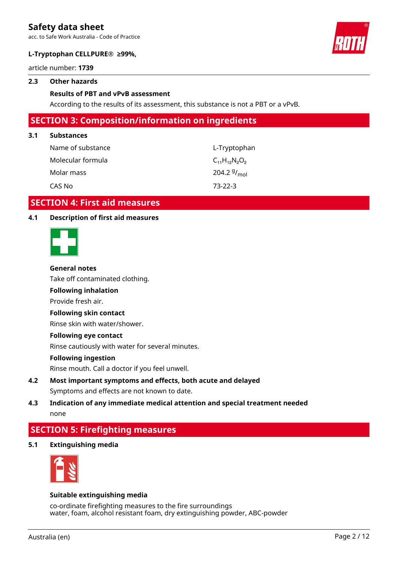acc. to Safe Work Australia - Code of Practice



### **L-Tryptophan CELLPURE® ≥99%,**

article number: **1739**

### **2.3 Other hazards**

### **Results of PBT and vPvB assessment**

According to the results of its assessment, this substance is not a PBT or a vPvB.

### **SECTION 3: Composition/information on ingredients**

#### **3.1 Substances**

| Name of substance | L-Tryptophan              |
|-------------------|---------------------------|
| Molecular formula | $C_{11}H_{12}N_{2}O_{2}$  |
| Molar mass        | 204.2 $9/$ <sub>mol</sub> |
| CAS No            | $73-22-3$                 |

### **SECTION 4: First aid measures**

### **4.1 Description of first aid measures**



#### **General notes**

Take off contaminated clothing.

### **Following inhalation**

Provide fresh air.

### **Following skin contact**

Rinse skin with water/shower.

#### **Following eye contact**

Rinse cautiously with water for several minutes.

#### **Following ingestion**

Rinse mouth. Call a doctor if you feel unwell.

### **4.2 Most important symptoms and effects, both acute and delayed** Symptoms and effects are not known to date.

### **4.3 Indication of any immediate medical attention and special treatment needed** none

### **SECTION 5: Firefighting measures**

**5.1 Extinguishing media**



#### **Suitable extinguishing media**

co-ordinate firefighting measures to the fire surroundings water, foam, alcohol resistant foam, dry extinguishing powder, ABC-powder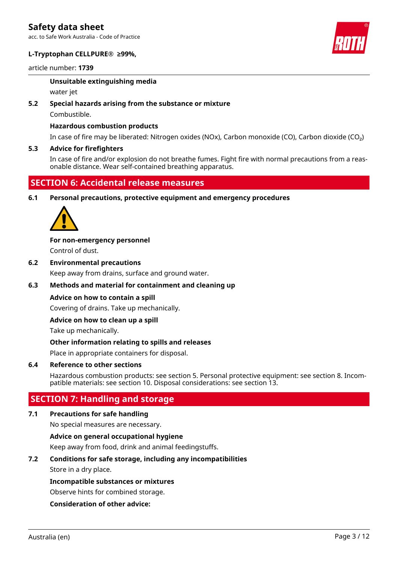acc. to Safe Work Australia - Code of Practice

### **L-Tryptophan CELLPURE® ≥99%,**

article number: **1739**

### **Unsuitable extinguishing media**

water jet

### **5.2 Special hazards arising from the substance or mixture**

Combustible.

### **Hazardous combustion products**

In case of fire may be liberated: Nitrogen oxides (NOx), Carbon monoxide (CO), Carbon dioxide (CO₂)

### **5.3 Advice for firefighters**

In case of fire and/or explosion do not breathe fumes. Fight fire with normal precautions from a reasonable distance. Wear self-contained breathing apparatus.

## **SECTION 6: Accidental release measures**

**6.1 Personal precautions, protective equipment and emergency procedures**



**For non-emergency personnel** Control of dust.

**6.2 Environmental precautions** Keep away from drains, surface and ground water.

### **6.3 Methods and material for containment and cleaning up**

### **Advice on how to contain a spill**

Covering of drains. Take up mechanically.

### **Advice on how to clean up a spill**

Take up mechanically.

### **Other information relating to spills and releases**

Place in appropriate containers for disposal.

### **6.4 Reference to other sections**

Hazardous combustion products: see section 5. Personal protective equipment: see section 8. Incompatible materials: see section 10. Disposal considerations: see section 13.

### **SECTION 7: Handling and storage**

### **7.1 Precautions for safe handling**

No special measures are necessary.

### **Advice on general occupational hygiene**

Keep away from food, drink and animal feedingstuffs.

### **7.2 Conditions for safe storage, including any incompatibilities**

Store in a dry place.

### **Incompatible substances or mixtures**

Observe hints for combined storage.

### **Consideration of other advice:**

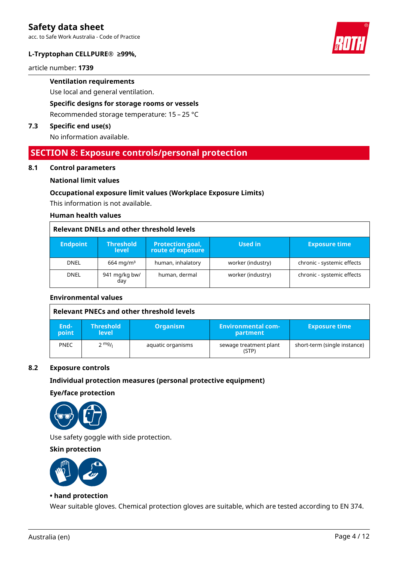acc. to Safe Work Australia - Code of Practice

### **L-Tryptophan CELLPURE® ≥99%,**

article number: **1739**

**Ventilation requirements**

Use local and general ventilation.

**Specific designs for storage rooms or vessels**

Recommended storage temperature: 15 – 25 °C

### **7.3 Specific end use(s)**

No information available.

### **SECTION 8: Exposure controls/personal protection**

#### **8.1 Control parameters**

### **National limit values**

### **Occupational exposure limit values (Workplace Exposure Limits)**

This information is not available.

#### **Human health values**

### **Relevant DNELs and other threshold levels**

| <b>Endpoint</b> | <b>Threshold</b><br><b>level</b> | <b>Protection goal,</b><br>route of exposure | <b>Used in</b>    | <b>Exposure time</b>       |
|-----------------|----------------------------------|----------------------------------------------|-------------------|----------------------------|
| <b>DNEL</b>     | $664 \,\mathrm{mq/m^3}$          | human, inhalatory                            | worker (industry) | chronic - systemic effects |
| <b>DNEL</b>     | 941 mg/kg bw/<br>day             | human, dermal                                | worker (industry) | chronic - systemic effects |

### **Environmental values**

|               | Relevant PNECs and other threshold levels |                   |                                       |                              |  |
|---------------|-------------------------------------------|-------------------|---------------------------------------|------------------------------|--|
| End-<br>point | <b>Threshold</b><br>level                 | <b>Organism</b>   | <b>Environmental com-</b><br>partment | <b>Exposure time</b>         |  |
| <b>PNEC</b>   | $2 \frac{mg}{l}$                          | aquatic organisms | sewage treatment plant<br>(STP)       | short-term (single instance) |  |

### **8.2 Exposure controls**

### **Individual protection measures (personal protective equipment)**

#### **Eye/face protection**



Use safety goggle with side protection.

### **Skin protection**



### **• hand protection**

Wear suitable gloves. Chemical protection gloves are suitable, which are tested according to EN 374.

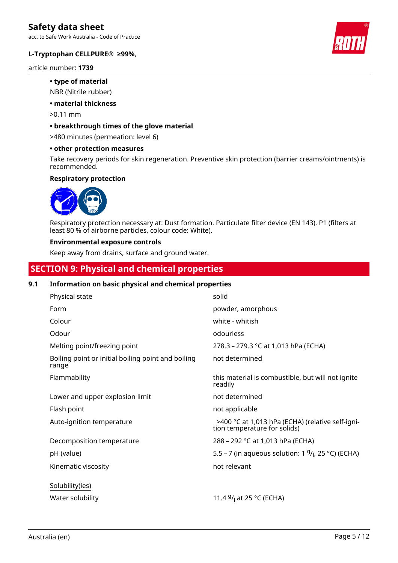acc. to Safe Work Australia - Code of Practice



### **L-Tryptophan CELLPURE® ≥99%,**

article number: **1739**

### **• type of material**

NBR (Nitrile rubber)

### **• material thickness**

>0,11 mm

### **• breakthrough times of the glove material**

>480 minutes (permeation: level 6)

### **• other protection measures**

Take recovery periods for skin regeneration. Preventive skin protection (barrier creams/ointments) is recommended.

### **Respiratory protection**



Respiratory protection necessary at: Dust formation. Particulate filter device (EN 143). P1 (filters at least 80 % of airborne particles, colour code: White).

### **Environmental exposure controls**

Keep away from drains, surface and ground water.

# **SECTION 9: Physical and chemical properties**

### **9.1 Information on basic physical and chemical properties**

| Physical state                                              | solid                                                                            |
|-------------------------------------------------------------|----------------------------------------------------------------------------------|
| Form                                                        | powder, amorphous                                                                |
| Colour                                                      | white - whitish                                                                  |
| Odour                                                       | odourless                                                                        |
| Melting point/freezing point                                | 278.3 – 279.3 °C at 1,013 hPa (ECHA)                                             |
| Boiling point or initial boiling point and boiling<br>range | not determined                                                                   |
| Flammability                                                | this material is combustible, but will not ignite<br>readily                     |
| Lower and upper explosion limit                             | not determined                                                                   |
| Flash point                                                 | not applicable                                                                   |
| Auto-ignition temperature                                   | >400 °C at 1,013 hPa (ECHA) (relative self-igni-<br>tion temperature for solids) |
| Decomposition temperature                                   | 288 – 292 °C at 1,013 hPa (ECHA)                                                 |
| pH (value)                                                  | 5.5 – 7 (in aqueous solution: 1 $9/1$ , 25 °C) (ECHA)                            |
| Kinematic viscosity                                         | not relevant                                                                     |
| Solubility(ies)                                             |                                                                                  |
| Water solubility                                            | 11.4 $9/1$ at 25 °C (ECHA)                                                       |

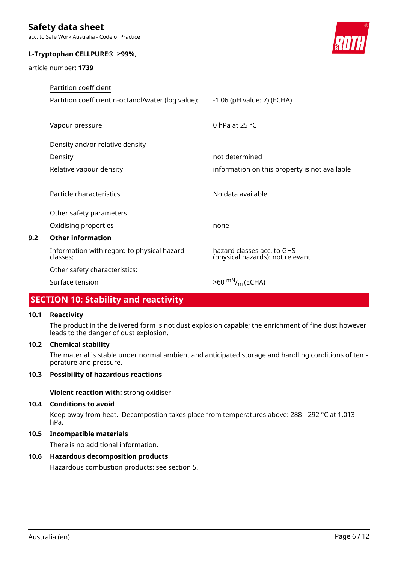acc. to Safe Work Australia - Code of Practice

### **L-Tryptophan CELLPURE® ≥99%,**

article number: **1739**



|     | Partition coefficient                                  |                                                                |
|-----|--------------------------------------------------------|----------------------------------------------------------------|
|     | Partition coefficient n-octanol/water (log value):     | -1.06 (pH value: 7) (ECHA)                                     |
|     | Vapour pressure                                        | 0 hPa at 25 $^{\circ}$ C                                       |
|     | Density and/or relative density                        |                                                                |
|     | Density                                                | not determined                                                 |
|     | Relative vapour density                                | information on this property is not available                  |
|     | Particle characteristics                               | No data available.                                             |
|     | Other safety parameters                                |                                                                |
|     | Oxidising properties                                   | none                                                           |
| 9.2 | <b>Other information</b>                               |                                                                |
|     | Information with regard to physical hazard<br>classes: | hazard classes acc. to GHS<br>(physical hazards): not relevant |
|     | Other safety characteristics:                          |                                                                |
|     | Surface tension                                        | $>60$ <sup>mN</sup> / <sub>m</sub> (ECHA)                      |

# **SECTION 10: Stability and reactivity**

### **10.1 Reactivity**

The product in the delivered form is not dust explosion capable; the enrichment of fine dust however leads to the danger of dust explosion.

### **10.2 Chemical stability**

The material is stable under normal ambient and anticipated storage and handling conditions of temperature and pressure.

### **10.3 Possibility of hazardous reactions**

**Violent reaction with:** strong oxidiser

### **10.4 Conditions to avoid**

Keep away from heat. Decompostion takes place from temperatures above: 288 – 292 °C at 1,013 hPa.

### **10.5 Incompatible materials**

There is no additional information.

### **10.6 Hazardous decomposition products**

Hazardous combustion products: see section 5.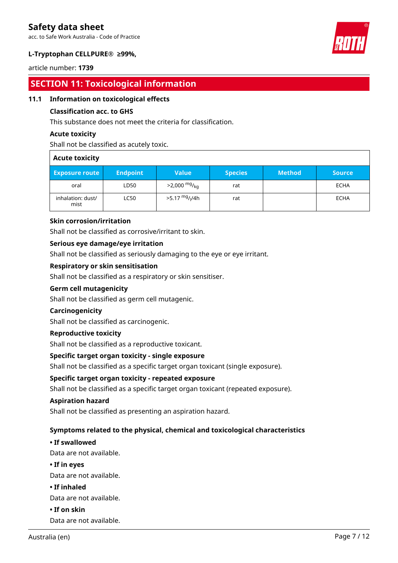acc. to Safe Work Australia - Code of Practice



### **L-Tryptophan CELLPURE® ≥99%,**

article number: **1739**

# **SECTION 11: Toxicological information**

### **11.1 Information on toxicological effects**

### **Classification acc. to GHS**

This substance does not meet the criteria for classification.

### **Acute toxicity**

Shall not be classified as acutely toxic.

| <b>Acute toxicity</b>     |                 |                                        |                |               |               |
|---------------------------|-----------------|----------------------------------------|----------------|---------------|---------------|
| <b>Exposure route</b>     | <b>Endpoint</b> | <b>Value</b>                           | <b>Species</b> | <b>Method</b> | <b>Source</b> |
| oral                      | LD50            | $>2,000$ mg/ <sub>kg</sub>             | rat            |               | ECHA          |
| inhalation: dust/<br>mist | <b>LC50</b>     | >5.17 <sup>mg</sup> / <sub>l</sub> /4h | rat            |               | ECHA          |

### **Skin corrosion/irritation**

Shall not be classified as corrosive/irritant to skin.

### **Serious eye damage/eye irritation**

Shall not be classified as seriously damaging to the eye or eye irritant.

### **Respiratory or skin sensitisation**

Shall not be classified as a respiratory or skin sensitiser.

### **Germ cell mutagenicity**

Shall not be classified as germ cell mutagenic.

### **Carcinogenicity**

Shall not be classified as carcinogenic.

### **Reproductive toxicity**

Shall not be classified as a reproductive toxicant.

### **Specific target organ toxicity - single exposure**

Shall not be classified as a specific target organ toxicant (single exposure).

### **Specific target organ toxicity - repeated exposure**

Shall not be classified as a specific target organ toxicant (repeated exposure).

### **Aspiration hazard**

Shall not be classified as presenting an aspiration hazard.

### **Symptoms related to the physical, chemical and toxicological characteristics**

### **• If swallowed**

Data are not available.

**• If in eyes**

Data are not available.

### **• If inhaled**

Data are not available.

**• If on skin**

Data are not available.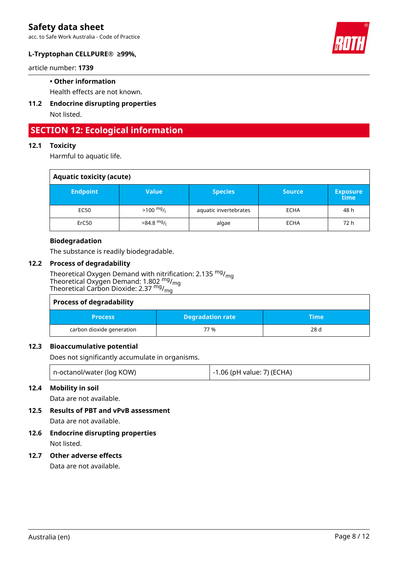acc. to Safe Work Australia - Code of Practice



### **L-Tryptophan CELLPURE® ≥99%,**

article number: **1739**

### **• Other information**

Health effects are not known.

**11.2 Endocrine disrupting properties** Not listed.

# **SECTION 12: Ecological information**

### **12.1 Toxicity**

Harmful to aquatic life.

| <b>Aquatic toxicity (acute)</b> |                     |                       |               |                         |
|---------------------------------|---------------------|-----------------------|---------------|-------------------------|
| <b>Endpoint</b>                 | Value               | <b>Species</b>        | <b>Source</b> | <b>Exposure</b><br>time |
| EC50                            | $>100 \frac{mg}{l}$ | aquatic invertebrates | <b>ECHA</b>   | 48 h                    |
| ErC50                           | $>84.8$ mg/         | algae                 | <b>ECHA</b>   | 72 h                    |

### **Biodegradation**

The substance is readily biodegradable.

### **12.2 Process of degradability**

Theoretical Oxygen Demand with nitrification: 2.135 <sup>mg</sup>/<sub>mg</sub> Theoretical Oxygen Demand: 1.802  $^{\text{mg}}$ /<sub>mg</sub> Theoretical Carbon Dioxide: 2.37 <sup>mg</sup>/<sub>mg</sub>

| <b>Process of degradability</b> |                         |       |  |
|---------------------------------|-------------------------|-------|--|
| <b>Process</b>                  | <b>Degradation rate</b> | \Time |  |
| carbon dioxide generation       | 77 %                    | 28 d  |  |

### **12.3 Bioaccumulative potential**

Does not significantly accumulate in organisms.

| n-octanol/water (log KOW) | -1.06 (pH value: 7) (ECHA) |
|---------------------------|----------------------------|
|---------------------------|----------------------------|

### **12.4 Mobility in soil**

Data are not available.

**12.5 Results of PBT and vPvB assessment**

Data are not available.

# **12.6 Endocrine disrupting properties**

Not listed.

### **12.7 Other adverse effects**

Data are not available.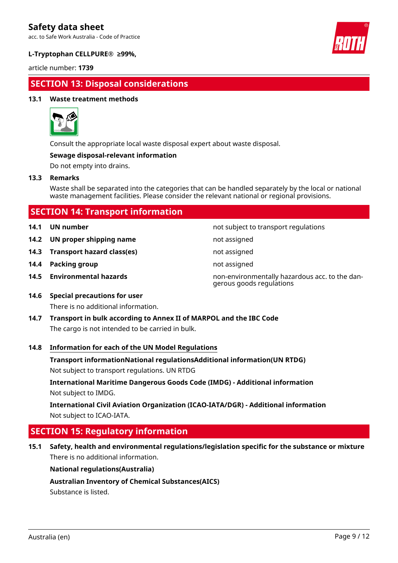acc. to Safe Work Australia - Code of Practice



### **L-Tryptophan CELLPURE® ≥99%,**

article number: **1739**

# **SECTION 13: Disposal considerations**

### **13.1 Waste treatment methods**



Consult the appropriate local waste disposal expert about waste disposal.

### **Sewage disposal-relevant information**

Do not empty into drains.

### **13.3 Remarks**

Waste shall be separated into the categories that can be handled separately by the local or national waste management facilities. Please consider the relevant national or regional provisions.

| <b>SECTION 14: Transport information</b> |  |
|------------------------------------------|--|
|------------------------------------------|--|

- 
- **14.2 UN proper shipping name** not assigned
- **14.3 Transport hazard class(es)** not assigned
- **14.4 Packing group not assigned not assigned**
- 

**14.1 UN number 14.1 UN number not subject to transport regulations** 

- 
- 
- 
- **14.5 Environmental hazards** non-environmentally hazardous acc. to the dangerous goods regulations
- **14.6 Special precautions for user** There is no additional information.
- **14.7 Transport in bulk according to Annex II of MARPOL and the IBC Code** The cargo is not intended to be carried in bulk.

### **14.8 Information for each of the UN Model Regulations**

**Transport informationNational regulationsAdditional information(UN RTDG)**

Not subject to transport regulations. UN RTDG

**International Maritime Dangerous Goods Code (IMDG) - Additional information** Not subject to IMDG.

**International Civil Aviation Organization (ICAO-IATA/DGR) - Additional information** Not subject to ICAO-IATA.

# **SECTION 15: Regulatory information**

**15.1 Safety, health and environmental regulations/legislation specific for the substance or mixture** There is no additional information.

### **National regulations(Australia)**

**Australian Inventory of Chemical Substances(AICS)**

Substance is listed.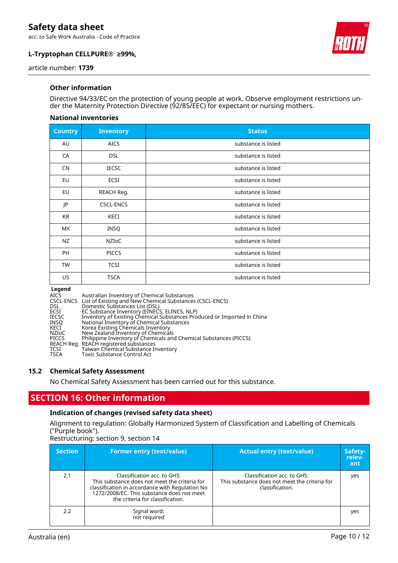acc. to Safe Work Australia - Code of Practice





article number: **1739**

### **Other information**

Directive 94/33/EC on the protection of young people at work. Observe employment restrictions under the Maternity Protection Directive (92/85/EEC) for expectant or nursing mothers.

#### **National inventories**

| <b>Country</b> | <b>Inventory</b> | <b>Status</b>       |
|----------------|------------------|---------------------|
| AU             | <b>AICS</b>      | substance is listed |
| CA             | <b>DSL</b>       | substance is listed |
| <b>CN</b>      | <b>IECSC</b>     | substance is listed |
| EU             | ECSI             | substance is listed |
| EU             | REACH Reg.       | substance is listed |
| JP             | <b>CSCL-ENCS</b> | substance is listed |
| <b>KR</b>      | KECI             | substance is listed |
| <b>MX</b>      | INSQ             | substance is listed |
| NZ             | NZIOC            | substance is listed |
| PH             | <b>PICCS</b>     | substance is listed |
| <b>TW</b>      | <b>TCSI</b>      | substance is listed |
| US.            | <b>TSCA</b>      | substance is listed |

**Legend<br>AICS<br>CSCL-ENCS<br>DSL<br>ECSI<br>IECSC** AICS Australian Inventory of Chemical Substances CSCL-ENCS List of Existing and New Chemical Substances (CSCL-ENCS) DSL Domestic Substances List (DSL) ECSI EC Substance Inventory (EINECS, ELINCS, NLP) IECSC Inventory of Existing Chemical Substances Produced or Imported in China INSQ National Inventory of Chemical Substances KECI Korea Existing Chemicals Inventory NZIoC New Zealand Inventory of Chemicals PICCS Philippine Inventory of Chemicals and Chemical Substances (PICCS) REACH Reg. REACH registered substances TCSI Taiwan Chemical Substance Inventory TSCA Toxic Substance Control Act

### **15.2 Chemical Safety Assessment**

No Chemical Safety Assessment has been carried out for this substance.

### **SECTION 16: Other information**

#### **Indication of changes (revised safety data sheet)**

Alignment to regulation: Globally Harmonized System of Classification and Labelling of Chemicals ("Purple book").

Restructuring: section 9, section 14

| <b>Section</b> | <b>Former entry (text/value)</b>                                                                                                                                                                                  | <b>Actual entry (text/value)</b>                                                                | Safety-<br>relev-<br>ant |
|----------------|-------------------------------------------------------------------------------------------------------------------------------------------------------------------------------------------------------------------|-------------------------------------------------------------------------------------------------|--------------------------|
| 2.1            | Classification acc. to GHS:<br>This substance does not meet the criteria for<br>classification in accordance with Regulation No<br>1272/2008/EC. This substance does not meet<br>the criteria for classification. | Classification acc. to GHS:<br>This substance does not meet the criteria for<br>classification. | yes                      |
| 2.2            | Signal word:<br>not required                                                                                                                                                                                      |                                                                                                 | yes                      |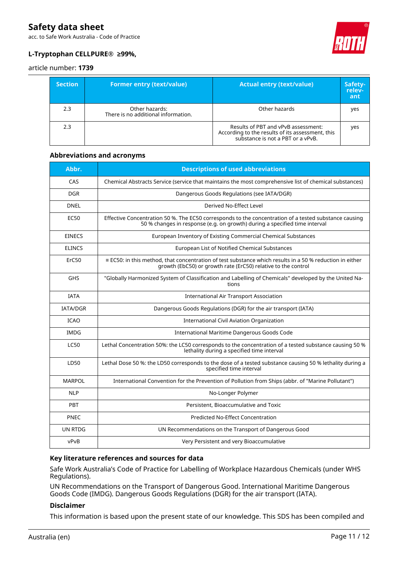acc. to Safe Work Australia - Code of Practice



### **L-Tryptophan CELLPURE® ≥99%,**

article number: **1739**

| <b>Section</b> | <b>Former entry (text/value)</b>                      | <b>Actual entry (text/value)</b>                                                                                             | Safety-<br>relev-<br>ant |
|----------------|-------------------------------------------------------|------------------------------------------------------------------------------------------------------------------------------|--------------------------|
| 2.3            | Other hazards:<br>There is no additional information. | Other hazards                                                                                                                | yes                      |
| 2.3            |                                                       | Results of PBT and vPvB assessment:<br>According to the results of its assessment, this<br>substance is not a PBT or a vPvB. | yes                      |

### **Abbreviations and acronyms**

| Abbr.           | <b>Descriptions of used abbreviations</b>                                                                                                                                           |
|-----------------|-------------------------------------------------------------------------------------------------------------------------------------------------------------------------------------|
| CAS             | Chemical Abstracts Service (service that maintains the most comprehensive list of chemical substances)                                                                              |
| <b>DGR</b>      | Dangerous Goods Regulations (see IATA/DGR)                                                                                                                                          |
| <b>DNEL</b>     | Derived No-Effect Level                                                                                                                                                             |
| <b>EC50</b>     | Effective Concentration 50 %. The EC50 corresponds to the concentration of a tested substance causing<br>50 % changes in response (e.g. on growth) during a specified time interval |
| <b>EINECS</b>   | European Inventory of Existing Commercial Chemical Substances                                                                                                                       |
| <b>ELINCS</b>   | European List of Notified Chemical Substances                                                                                                                                       |
| ErC50           | $\equiv$ EC50: in this method, that concentration of test substance which results in a 50 % reduction in either<br>growth (EbC50) or growth rate (ErC50) relative to the control    |
| <b>GHS</b>      | "Globally Harmonized System of Classification and Labelling of Chemicals" developed by the United Na-<br>tions                                                                      |
| <b>IATA</b>     | <b>International Air Transport Association</b>                                                                                                                                      |
| <b>IATA/DGR</b> | Dangerous Goods Regulations (DGR) for the air transport (IATA)                                                                                                                      |
| <b>ICAO</b>     | <b>International Civil Aviation Organization</b>                                                                                                                                    |
| <b>IMDG</b>     | International Maritime Dangerous Goods Code                                                                                                                                         |
| <b>LC50</b>     | Lethal Concentration 50%: the LC50 corresponds to the concentration of a tested substance causing 50 %<br>lethality during a specified time interval                                |
| LD50            | Lethal Dose 50 %: the LD50 corresponds to the dose of a tested substance causing 50 % lethality during a<br>specified time interval                                                 |
| <b>MARPOL</b>   | International Convention for the Prevention of Pollution from Ships (abbr. of "Marine Pollutant")                                                                                   |
| <b>NLP</b>      | No-Longer Polymer                                                                                                                                                                   |
| PBT             | Persistent, Bioaccumulative and Toxic                                                                                                                                               |
| PNEC            | <b>Predicted No-Effect Concentration</b>                                                                                                                                            |
| <b>UN RTDG</b>  | UN Recommendations on the Transport of Dangerous Good                                                                                                                               |
| vPvB            | Very Persistent and very Bioaccumulative                                                                                                                                            |

### **Key literature references and sources for data**

Safe Work Australia's Code of Practice for Labelling of Workplace Hazardous Chemicals (under WHS Regulations).

UN Recommendations on the Transport of Dangerous Good. International Maritime Dangerous Goods Code (IMDG). Dangerous Goods Regulations (DGR) for the air transport (IATA).

### **Disclaimer**

This information is based upon the present state of our knowledge. This SDS has been compiled and